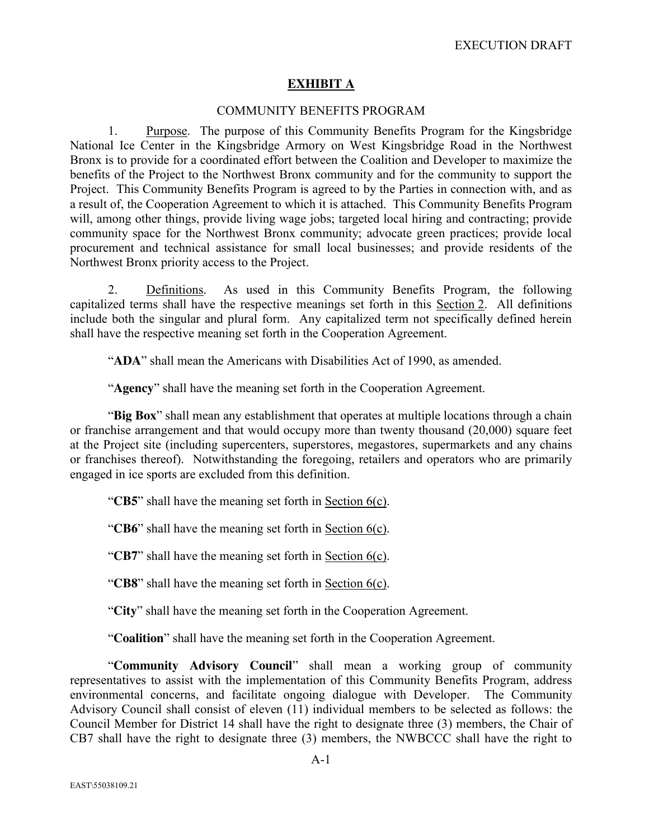# **EXHIBIT A**

### COMMUNITY BENEFITS PROGRAM

1. Purpose. The purpose of this Community Benefits Program for the Kingsbridge National Ice Center in the Kingsbridge Armory on West Kingsbridge Road in the Northwest Bronx is to provide for a coordinated effort between the Coalition and Developer to maximize the benefits of the Project to the Northwest Bronx community and for the community to support the Project. This Community Benefits Program is agreed to by the Parties in connection with, and as a result of, the Cooperation Agreement to which it is attached. This Community Benefits Program will, among other things, provide living wage jobs; targeted local hiring and contracting; provide community space for the Northwest Bronx community; advocate green practices; provide local procurement and technical assistance for small local businesses; and provide residents of the Northwest Bronx priority access to the Project.

2. Definitions. As used in this Community Benefits Program, the following capitalized terms shall have the respective meanings set forth in this Section 2. All definitions include both the singular and plural form. Any capitalized term not specifically defined herein shall have the respective meaning set forth in the Cooperation Agreement.

"**ADA**" shall mean the Americans with Disabilities Act of 1990, as amended.

"**Agency**" shall have the meaning set forth in the Cooperation Agreement.

"**Big Box**" shall mean any establishment that operates at multiple locations through a chain or franchise arrangement and that would occupy more than twenty thousand (20,000) square feet at the Project site (including supercenters, superstores, megastores, supermarkets and any chains or franchises thereof). Notwithstanding the foregoing, retailers and operators who are primarily engaged in ice sports are excluded from this definition.

"**CB5**" shall have the meaning set forth in Section 6(c).

"**CB6**" shall have the meaning set forth in Section 6(c).

"**CB7**" shall have the meaning set forth in Section 6(c).

"**CB8**" shall have the meaning set forth in Section 6(c).

"**City**" shall have the meaning set forth in the Cooperation Agreement.

"**Coalition**" shall have the meaning set forth in the Cooperation Agreement.

"**Community Advisory Council**" shall mean a working group of community representatives to assist with the implementation of this Community Benefits Program, address environmental concerns, and facilitate ongoing dialogue with Developer. The Community Advisory Council shall consist of eleven (11) individual members to be selected as follows: the Council Member for District 14 shall have the right to designate three (3) members, the Chair of CB7 shall have the right to designate three (3) members, the NWBCCC shall have the right to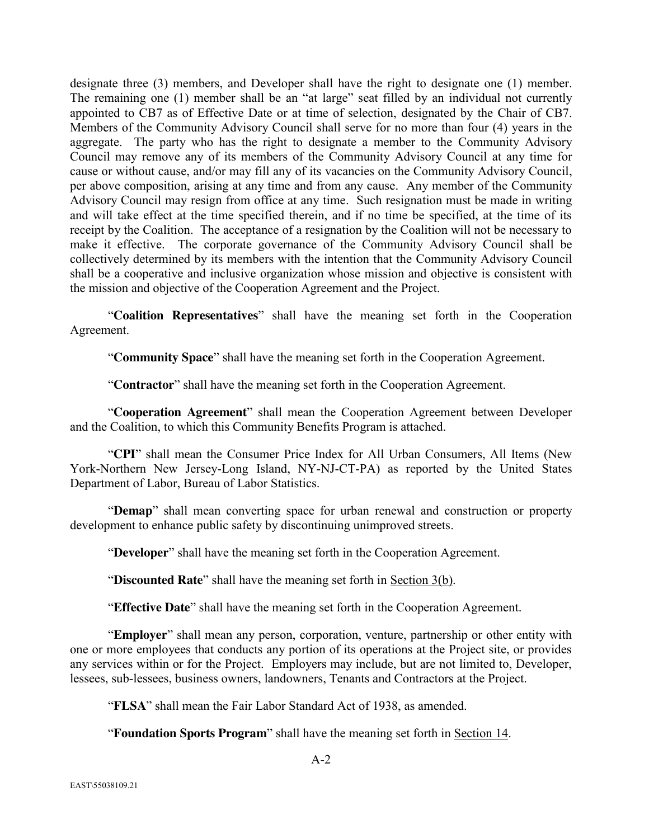designate three (3) members, and Developer shall have the right to designate one (1) member. The remaining one (1) member shall be an "at large" seat filled by an individual not currently appointed to CB7 as of Effective Date or at time of selection, designated by the Chair of CB7. Members of the Community Advisory Council shall serve for no more than four (4) years in the aggregate. The party who has the right to designate a member to the Community Advisory Council may remove any of its members of the Community Advisory Council at any time for cause or without cause, and/or may fill any of its vacancies on the Community Advisory Council, per above composition, arising at any time and from any cause. Any member of the Community Advisory Council may resign from office at any time. Such resignation must be made in writing and will take effect at the time specified therein, and if no time be specified, at the time of its receipt by the Coalition. The acceptance of a resignation by the Coalition will not be necessary to make it effective. The corporate governance of the Community Advisory Council shall be collectively determined by its members with the intention that the Community Advisory Council shall be a cooperative and inclusive organization whose mission and objective is consistent with the mission and objective of the Cooperation Agreement and the Project.

"**Coalition Representatives**" shall have the meaning set forth in the Cooperation Agreement.

"**Community Space**" shall have the meaning set forth in the Cooperation Agreement.

"**Contractor**" shall have the meaning set forth in the Cooperation Agreement.

"**Cooperation Agreement**" shall mean the Cooperation Agreement between Developer and the Coalition, to which this Community Benefits Program is attached.

"**CPI**" shall mean the Consumer Price Index for All Urban Consumers, All Items (New York-Northern New Jersey-Long Island, NY-NJ-CT-PA) as reported by the United States Department of Labor, Bureau of Labor Statistics.

"**Demap**" shall mean converting space for urban renewal and construction or property development to enhance public safety by discontinuing unimproved streets.

"**Developer**" shall have the meaning set forth in the Cooperation Agreement.

"**Discounted Rate**" shall have the meaning set forth in Section 3(b).

"**Effective Date**" shall have the meaning set forth in the Cooperation Agreement.

"**Employer**" shall mean any person, corporation, venture, partnership or other entity with one or more employees that conducts any portion of its operations at the Project site, or provides any services within or for the Project. Employers may include, but are not limited to, Developer, lessees, sub-lessees, business owners, landowners, Tenants and Contractors at the Project.

"**FLSA**" shall mean the Fair Labor Standard Act of 1938, as amended.

"**Foundation Sports Program**" shall have the meaning set forth in Section 14.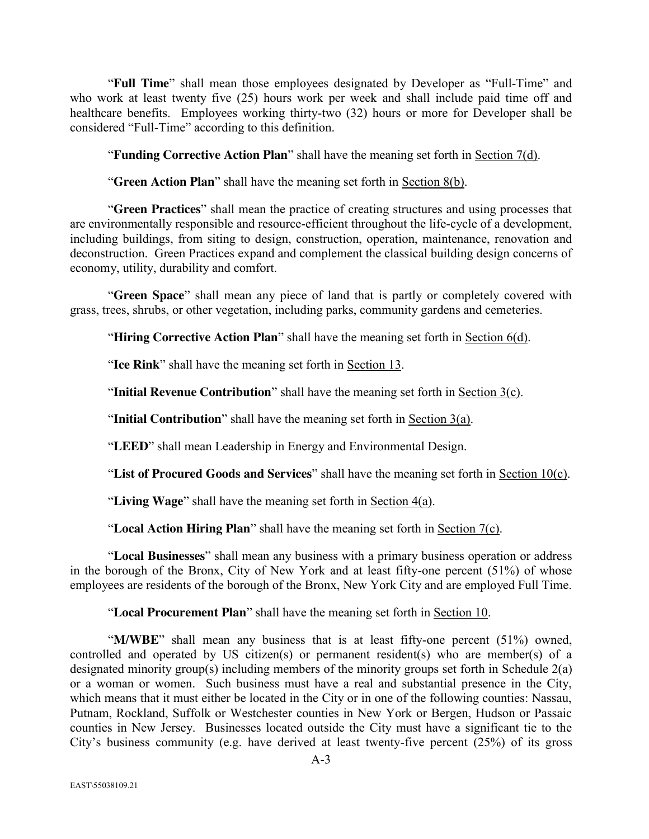"**Full Time**" shall mean those employees designated by Developer as "Full-Time" and who work at least twenty five (25) hours work per week and shall include paid time off and healthcare benefits. Employees working thirty-two (32) hours or more for Developer shall be considered "Full-Time" according to this definition.

"**Funding Corrective Action Plan**" shall have the meaning set forth in Section 7(d).

"**Green Action Plan**" shall have the meaning set forth in Section 8(b).

"**Green Practices**" shall mean the practice of creating structures and using processes that are environmentally responsible and resource-efficient throughout the life-cycle of a development, including buildings, from siting to design, construction, operation, maintenance, renovation and deconstruction. Green Practices expand and complement the classical building design concerns of economy, utility, durability and comfort.

"**Green Space**" shall mean any piece of land that is partly or completely covered with grass, trees, shrubs, or other vegetation, including parks, community gardens and cemeteries.

"**Hiring Corrective Action Plan**" shall have the meaning set forth in Section 6(d).

"**Ice Rink**" shall have the meaning set forth in Section 13.

"**Initial Revenue Contribution**" shall have the meaning set forth in Section 3(c).

"**Initial Contribution**" shall have the meaning set forth in Section 3(a).

"**LEED**" shall mean Leadership in Energy and Environmental Design.

"**List of Procured Goods and Services**" shall have the meaning set forth in Section 10(c).

"**Living Wage**" shall have the meaning set forth in Section 4(a).

"**Local Action Hiring Plan**" shall have the meaning set forth in Section 7(c).

"**Local Businesses**" shall mean any business with a primary business operation or address in the borough of the Bronx, City of New York and at least fifty-one percent (51%) of whose employees are residents of the borough of the Bronx, New York City and are employed Full Time.

"**Local Procurement Plan**" shall have the meaning set forth in Section 10.

"**M/WBE**" shall mean any business that is at least fifty-one percent (51%) owned, controlled and operated by US citizen(s) or permanent resident(s) who are member(s) of a designated minority group(s) including members of the minority groups set forth in Schedule 2(a) or a woman or women. Such business must have a real and substantial presence in the City, which means that it must either be located in the City or in one of the following counties: Nassau, Putnam, Rockland, Suffolk or Westchester counties in New York or Bergen, Hudson or Passaic counties in New Jersey. Businesses located outside the City must have a significant tie to the City's business community (e.g. have derived at least twenty-five percent (25%) of its gross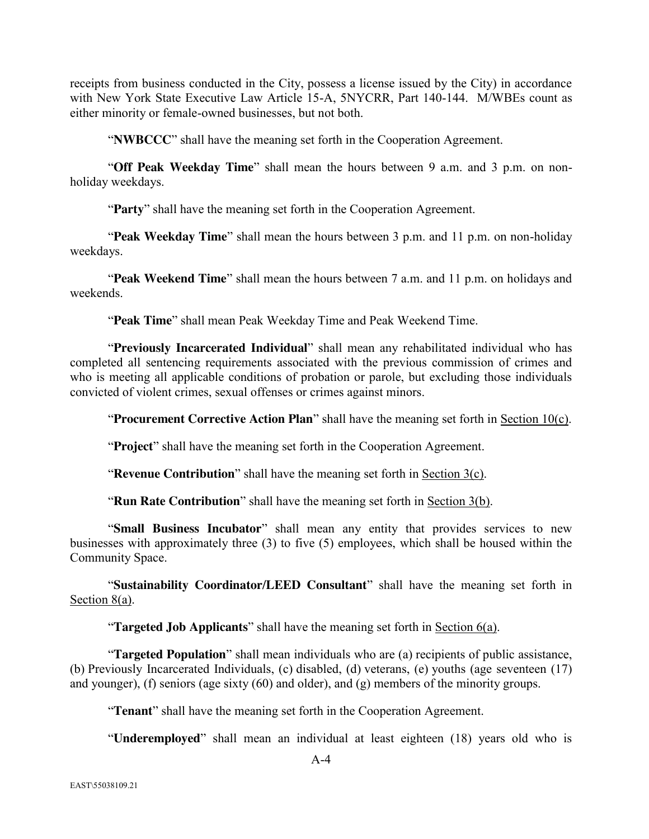receipts from business conducted in the City, possess a license issued by the City) in accordance with New York State Executive Law Article 15-A, 5NYCRR, Part 140-144. M/WBEs count as either minority or female-owned businesses, but not both.

"**NWBCCC**" shall have the meaning set forth in the Cooperation Agreement.

"**Off Peak Weekday Time**" shall mean the hours between 9 a.m. and 3 p.m. on nonholiday weekdays.

"**Party**" shall have the meaning set forth in the Cooperation Agreement.

"**Peak Weekday Time**" shall mean the hours between 3 p.m. and 11 p.m. on non-holiday weekdays.

"**Peak Weekend Time**" shall mean the hours between 7 a.m. and 11 p.m. on holidays and weekends.

"**Peak Time**" shall mean Peak Weekday Time and Peak Weekend Time.

"**Previously Incarcerated Individual**" shall mean any rehabilitated individual who has completed all sentencing requirements associated with the previous commission of crimes and who is meeting all applicable conditions of probation or parole, but excluding those individuals convicted of violent crimes, sexual offenses or crimes against minors.

"**Procurement Corrective Action Plan**" shall have the meaning set forth in Section 10(c).

"**Project**" shall have the meaning set forth in the Cooperation Agreement.

"**Revenue Contribution**" shall have the meaning set forth in Section 3(c).

"**Run Rate Contribution**" shall have the meaning set forth in Section 3(b).

"**Small Business Incubator**" shall mean any entity that provides services to new businesses with approximately three (3) to five (5) employees, which shall be housed within the Community Space.

"**Sustainability Coordinator/LEED Consultant**" shall have the meaning set forth in Section 8(a).

"**Targeted Job Applicants**" shall have the meaning set forth in Section 6(a).

"**Targeted Population**" shall mean individuals who are (a) recipients of public assistance, (b) Previously Incarcerated Individuals, (c) disabled, (d) veterans, (e) youths (age seventeen (17) and younger), (f) seniors (age sixty (60) and older), and (g) members of the minority groups.

"**Tenant**" shall have the meaning set forth in the Cooperation Agreement.

"**Underemployed**" shall mean an individual at least eighteen (18) years old who is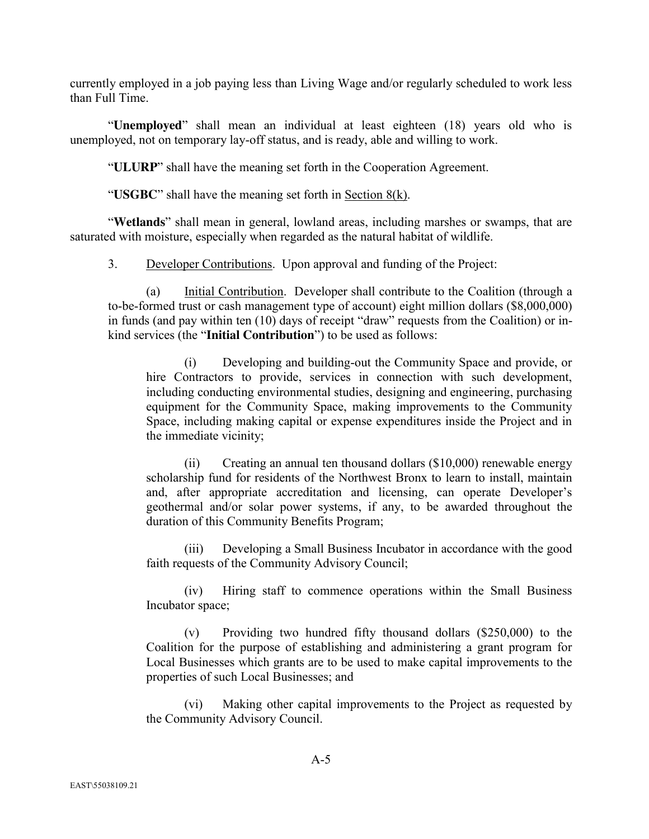currently employed in a job paying less than Living Wage and/or regularly scheduled to work less than Full Time.

"**Unemployed**" shall mean an individual at least eighteen (18) years old who is unemployed, not on temporary lay-off status, and is ready, able and willing to work.

"**ULURP**" shall have the meaning set forth in the Cooperation Agreement.

"**USGBC**" shall have the meaning set forth in Section 8(k).

"**Wetlands**" shall mean in general, lowland areas, including marshes or swamps, that are saturated with moisture, especially when regarded as the natural habitat of wildlife.

3. Developer Contributions. Upon approval and funding of the Project:

(a) Initial Contribution. Developer shall contribute to the Coalition (through a to-be-formed trust or cash management type of account) eight million dollars (\$8,000,000) in funds (and pay within ten (10) days of receipt "draw" requests from the Coalition) or inkind services (the "**Initial Contribution**") to be used as follows:

(i) Developing and building-out the Community Space and provide, or hire Contractors to provide, services in connection with such development, including conducting environmental studies, designing and engineering, purchasing equipment for the Community Space, making improvements to the Community Space, including making capital or expense expenditures inside the Project and in the immediate vicinity;

(ii) Creating an annual ten thousand dollars (\$10,000) renewable energy scholarship fund for residents of the Northwest Bronx to learn to install, maintain and, after appropriate accreditation and licensing, can operate Developer's geothermal and/or solar power systems, if any, to be awarded throughout the duration of this Community Benefits Program;

(iii) Developing a Small Business Incubator in accordance with the good faith requests of the Community Advisory Council;

(iv) Hiring staff to commence operations within the Small Business Incubator space;

(v) Providing two hundred fifty thousand dollars (\$250,000) to the Coalition for the purpose of establishing and administering a grant program for Local Businesses which grants are to be used to make capital improvements to the properties of such Local Businesses; and

(vi) Making other capital improvements to the Project as requested by the Community Advisory Council.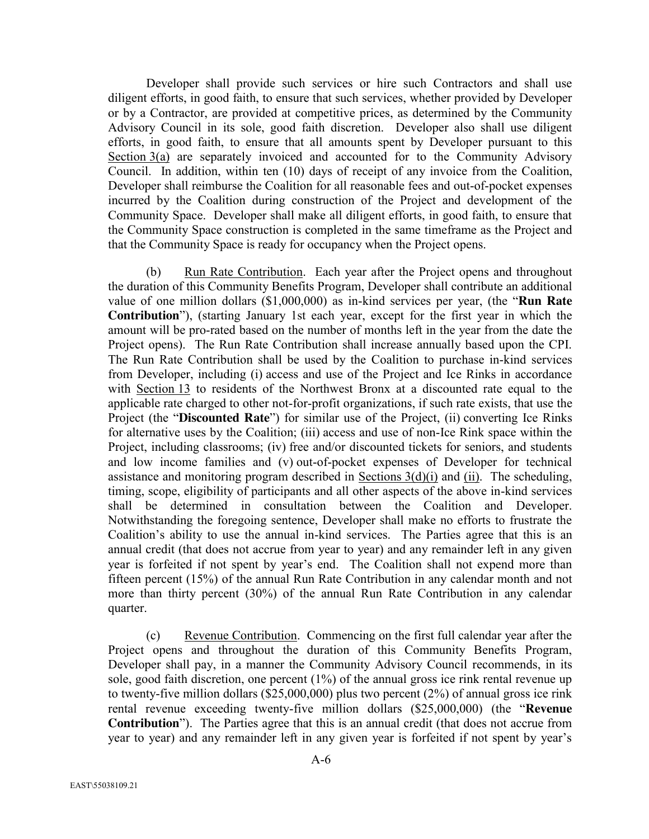Developer shall provide such services or hire such Contractors and shall use diligent efforts, in good faith, to ensure that such services, whether provided by Developer or by a Contractor, are provided at competitive prices, as determined by the Community Advisory Council in its sole, good faith discretion. Developer also shall use diligent efforts, in good faith, to ensure that all amounts spent by Developer pursuant to this Section 3(a) are separately invoiced and accounted for to the Community Advisory Council. In addition, within ten (10) days of receipt of any invoice from the Coalition, Developer shall reimburse the Coalition for all reasonable fees and out-of-pocket expenses incurred by the Coalition during construction of the Project and development of the Community Space. Developer shall make all diligent efforts, in good faith, to ensure that the Community Space construction is completed in the same timeframe as the Project and that the Community Space is ready for occupancy when the Project opens.

(b) Run Rate Contribution. Each year after the Project opens and throughout the duration of this Community Benefits Program, Developer shall contribute an additional value of one million dollars (\$1,000,000) as in-kind services per year, (the "**Run Rate Contribution**"), (starting January 1st each year, except for the first year in which the amount will be pro-rated based on the number of months left in the year from the date the Project opens). The Run Rate Contribution shall increase annually based upon the CPI. The Run Rate Contribution shall be used by the Coalition to purchase in-kind services from Developer, including (i) access and use of the Project and Ice Rinks in accordance with Section 13 to residents of the Northwest Bronx at a discounted rate equal to the applicable rate charged to other not-for-profit organizations, if such rate exists, that use the Project (the "**Discounted Rate**") for similar use of the Project, (ii) converting Ice Rinks for alternative uses by the Coalition; (iii) access and use of non-Ice Rink space within the Project, including classrooms; (iv) free and/or discounted tickets for seniors, and students and low income families and (v) out-of-pocket expenses of Developer for technical assistance and monitoring program described in Sections  $3(d)(i)$  and (ii). The scheduling, timing, scope, eligibility of participants and all other aspects of the above in-kind services shall be determined in consultation between the Coalition and Developer. Notwithstanding the foregoing sentence, Developer shall make no efforts to frustrate the Coalition's ability to use the annual in-kind services. The Parties agree that this is an annual credit (that does not accrue from year to year) and any remainder left in any given year is forfeited if not spent by year's end. The Coalition shall not expend more than fifteen percent (15%) of the annual Run Rate Contribution in any calendar month and not more than thirty percent (30%) of the annual Run Rate Contribution in any calendar quarter.

(c) Revenue Contribution. Commencing on the first full calendar year after the Project opens and throughout the duration of this Community Benefits Program, Developer shall pay, in a manner the Community Advisory Council recommends, in its sole, good faith discretion, one percent (1%) of the annual gross ice rink rental revenue up to twenty-five million dollars (\$25,000,000) plus two percent (2%) of annual gross ice rink rental revenue exceeding twenty-five million dollars (\$25,000,000) (the "**Revenue Contribution**"). The Parties agree that this is an annual credit (that does not accrue from year to year) and any remainder left in any given year is forfeited if not spent by year's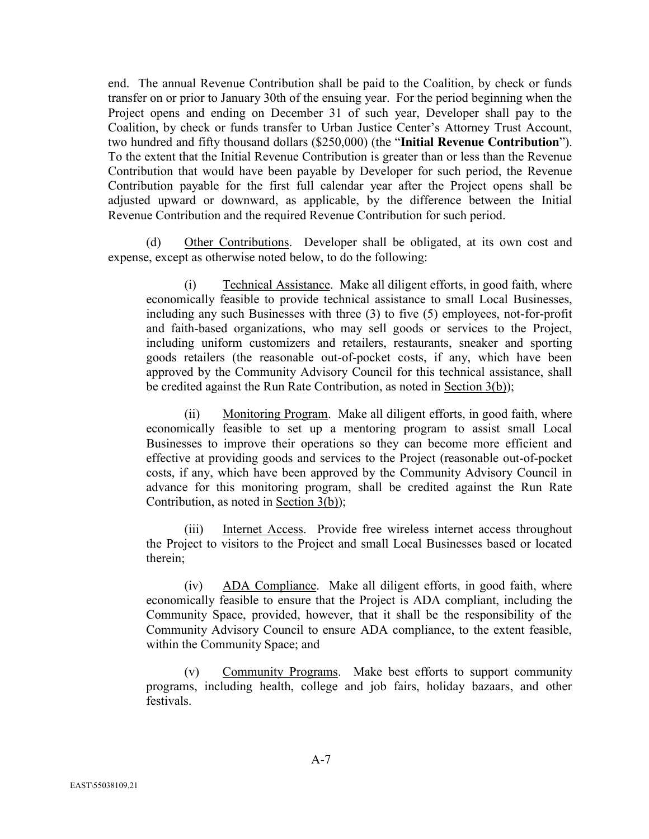end. The annual Revenue Contribution shall be paid to the Coalition, by check or funds transfer on or prior to January 30th of the ensuing year. For the period beginning when the Project opens and ending on December 31 of such year, Developer shall pay to the Coalition, by check or funds transfer to Urban Justice Center's Attorney Trust Account, two hundred and fifty thousand dollars (\$250,000) (the "**Initial Revenue Contribution**"). To the extent that the Initial Revenue Contribution is greater than or less than the Revenue Contribution that would have been payable by Developer for such period, the Revenue Contribution payable for the first full calendar year after the Project opens shall be adjusted upward or downward, as applicable, by the difference between the Initial Revenue Contribution and the required Revenue Contribution for such period.

(d) Other Contributions. Developer shall be obligated, at its own cost and expense, except as otherwise noted below, to do the following:

(i) Technical Assistance. Make all diligent efforts, in good faith, where economically feasible to provide technical assistance to small Local Businesses, including any such Businesses with three (3) to five (5) employees, not-for-profit and faith-based organizations, who may sell goods or services to the Project, including uniform customizers and retailers, restaurants, sneaker and sporting goods retailers (the reasonable out-of-pocket costs, if any, which have been approved by the Community Advisory Council for this technical assistance, shall be credited against the Run Rate Contribution, as noted in Section 3(b));

(ii) Monitoring Program. Make all diligent efforts, in good faith, where economically feasible to set up a mentoring program to assist small Local Businesses to improve their operations so they can become more efficient and effective at providing goods and services to the Project (reasonable out-of-pocket costs, if any, which have been approved by the Community Advisory Council in advance for this monitoring program, shall be credited against the Run Rate Contribution, as noted in Section 3(b));

(iii) Internet Access. Provide free wireless internet access throughout the Project to visitors to the Project and small Local Businesses based or located therein;

(iv) ADA Compliance. Make all diligent efforts, in good faith, where economically feasible to ensure that the Project is ADA compliant, including the Community Space, provided, however, that it shall be the responsibility of the Community Advisory Council to ensure ADA compliance, to the extent feasible, within the Community Space; and

(v) Community Programs. Make best efforts to support community programs, including health, college and job fairs, holiday bazaars, and other festivals.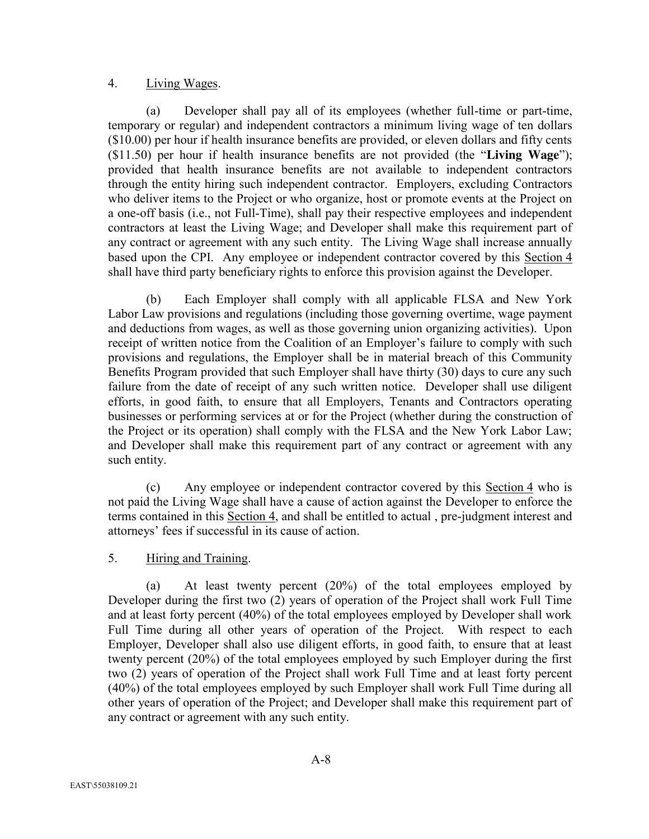#### 4. Living Wages.

(a) Developer shall pay all of its employees (whether full-time or part-time, temporary or regular) and independent contractors a minimum living wage of ten dollars (\$10.00) per hour if health insurance benefits are provided, or eleven dollars and fifty cents (\$11.50) per hour if health insurance benefits are not provided (the "**Living Wage**"); provided that health insurance benefits are not available to independent contractors through the entity hiring such independent contractor. Employers, excluding Contractors who deliver items to the Project or who organize, host or promote events at the Project on a one-off basis (i.e., not Full-Time), shall pay their respective employees and independent contractors at least the Living Wage; and Developer shall make this requirement part of any contract or agreement with any such entity. The Living Wage shall increase annually based upon the CPI. Any employee or independent contractor covered by this Section 4 shall have third party beneficiary rights to enforce this provision against the Developer.

(b) Each Employer shall comply with all applicable FLSA and New York Labor Law provisions and regulations (including those governing overtime, wage payment and deductions from wages, as well as those governing union organizing activities). Upon receipt of written notice from the Coalition of an Employer's failure to comply with such provisions and regulations, the Employer shall be in material breach of this Community Benefits Program provided that such Employer shall have thirty (30) days to cure any such failure from the date of receipt of any such written notice. Developer shall use diligent efforts, in good faith, to ensure that all Employers, Tenants and Contractors operating businesses or performing services at or for the Project (whether during the construction of the Project or its operation) shall comply with the FLSA and the New York Labor Law; and Developer shall make this requirement part of any contract or agreement with any such entity.

(c) Any employee or independent contractor covered by this Section 4 who is not paid the Living Wage shall have a cause of action against the Developer to enforce the terms contained in this Section 4, and shall be entitled to actual , pre-judgment interest and attorneys' fees if successful in its cause of action.

#### 5. Hiring and Training.

(a) At least twenty percent (20%) of the total employees employed by Developer during the first two (2) years of operation of the Project shall work Full Time and at least forty percent (40%) of the total employees employed by Developer shall work Full Time during all other years of operation of the Project. With respect to each Employer, Developer shall also use diligent efforts, in good faith, to ensure that at least twenty percent (20%) of the total employees employed by such Employer during the first two (2) years of operation of the Project shall work Full Time and at least forty percent (40%) of the total employees employed by such Employer shall work Full Time during all other years of operation of the Project; and Developer shall make this requirement part of any contract or agreement with any such entity.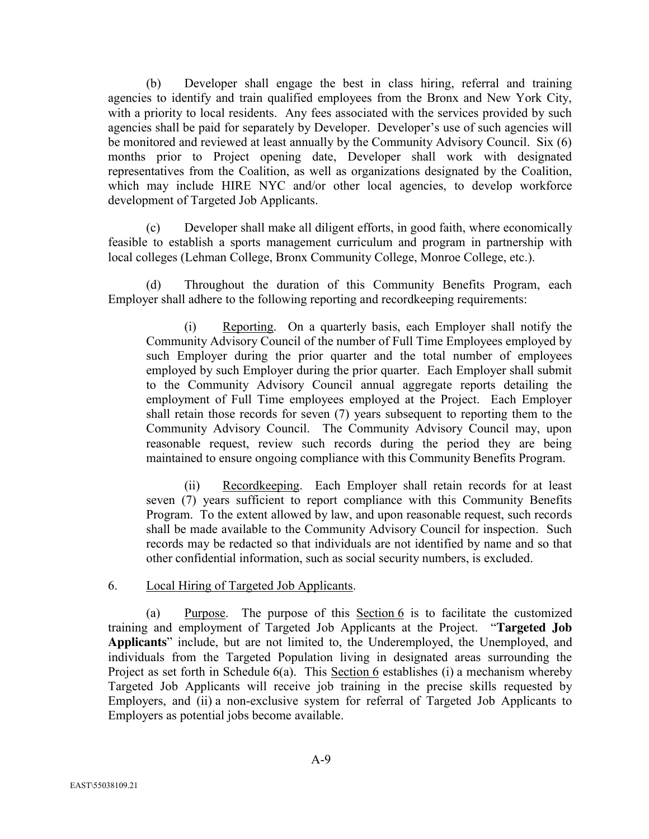(b) Developer shall engage the best in class hiring, referral and training agencies to identify and train qualified employees from the Bronx and New York City, with a priority to local residents. Any fees associated with the services provided by such agencies shall be paid for separately by Developer. Developer's use of such agencies will be monitored and reviewed at least annually by the Community Advisory Council. Six (6) months prior to Project opening date, Developer shall work with designated representatives from the Coalition, as well as organizations designated by the Coalition, which may include HIRE NYC and/or other local agencies, to develop workforce development of Targeted Job Applicants.

(c) Developer shall make all diligent efforts, in good faith, where economically feasible to establish a sports management curriculum and program in partnership with local colleges (Lehman College, Bronx Community College, Monroe College, etc.).

(d) Throughout the duration of this Community Benefits Program, each Employer shall adhere to the following reporting and recordkeeping requirements:

(i) Reporting. On a quarterly basis, each Employer shall notify the Community Advisory Council of the number of Full Time Employees employed by such Employer during the prior quarter and the total number of employees employed by such Employer during the prior quarter. Each Employer shall submit to the Community Advisory Council annual aggregate reports detailing the employment of Full Time employees employed at the Project. Each Employer shall retain those records for seven (7) years subsequent to reporting them to the Community Advisory Council. The Community Advisory Council may, upon reasonable request, review such records during the period they are being maintained to ensure ongoing compliance with this Community Benefits Program.

(ii) Recordkeeping. Each Employer shall retain records for at least seven (7) years sufficient to report compliance with this Community Benefits Program. To the extent allowed by law, and upon reasonable request, such records shall be made available to the Community Advisory Council for inspection. Such records may be redacted so that individuals are not identified by name and so that other confidential information, such as social security numbers, is excluded.

#### 6. Local Hiring of Targeted Job Applicants.

(a) Purpose. The purpose of this Section 6 is to facilitate the customized training and employment of Targeted Job Applicants at the Project. "**Targeted Job Applicants**" include, but are not limited to, the Underemployed, the Unemployed, and individuals from the Targeted Population living in designated areas surrounding the Project as set forth in Schedule 6(a). This Section 6 establishes (i) a mechanism whereby Targeted Job Applicants will receive job training in the precise skills requested by Employers, and (ii) a non-exclusive system for referral of Targeted Job Applicants to Employers as potential jobs become available.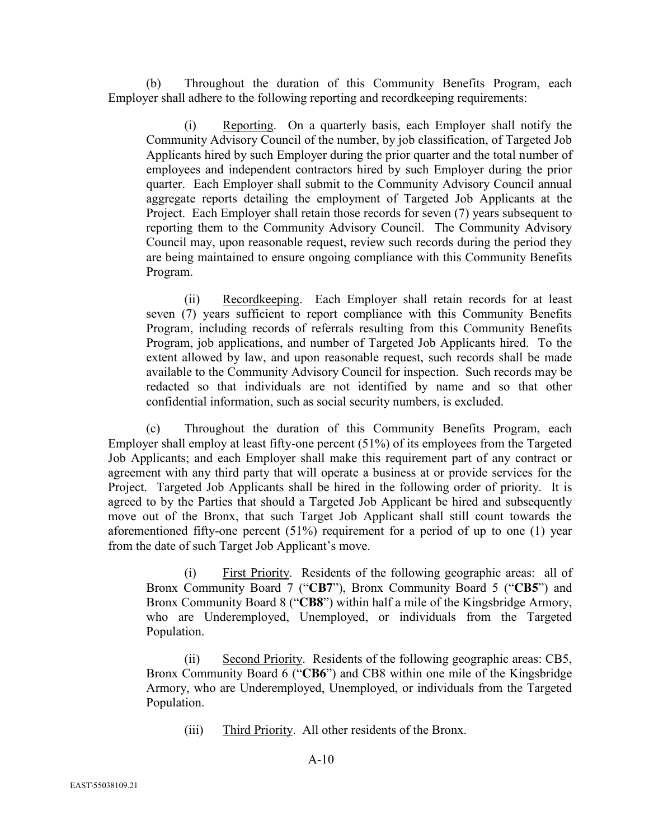(b) Throughout the duration of this Community Benefits Program, each Employer shall adhere to the following reporting and recordkeeping requirements:

(i) Reporting. On a quarterly basis, each Employer shall notify the Community Advisory Council of the number, by job classification, of Targeted Job Applicants hired by such Employer during the prior quarter and the total number of employees and independent contractors hired by such Employer during the prior quarter. Each Employer shall submit to the Community Advisory Council annual aggregate reports detailing the employment of Targeted Job Applicants at the Project. Each Employer shall retain those records for seven (7) years subsequent to reporting them to the Community Advisory Council. The Community Advisory Council may, upon reasonable request, review such records during the period they are being maintained to ensure ongoing compliance with this Community Benefits Program.

(ii) Recordkeeping. Each Employer shall retain records for at least seven (7) years sufficient to report compliance with this Community Benefits Program, including records of referrals resulting from this Community Benefits Program, job applications, and number of Targeted Job Applicants hired. To the extent allowed by law, and upon reasonable request, such records shall be made available to the Community Advisory Council for inspection. Such records may be redacted so that individuals are not identified by name and so that other confidential information, such as social security numbers, is excluded.

(c) Throughout the duration of this Community Benefits Program, each Employer shall employ at least fifty-one percent (51%) of its employees from the Targeted Job Applicants; and each Employer shall make this requirement part of any contract or agreement with any third party that will operate a business at or provide services for the Project. Targeted Job Applicants shall be hired in the following order of priority. It is agreed to by the Parties that should a Targeted Job Applicant be hired and subsequently move out of the Bronx, that such Target Job Applicant shall still count towards the aforementioned fifty-one percent (51%) requirement for a period of up to one (1) year from the date of such Target Job Applicant's move.

(i) First Priority. Residents of the following geographic areas: all of Bronx Community Board 7 ("**CB7**"), Bronx Community Board 5 ("**CB5**") and Bronx Community Board 8 ("**CB8**") within half a mile of the Kingsbridge Armory, who are Underemployed, Unemployed, or individuals from the Targeted Population.

(ii) Second Priority. Residents of the following geographic areas: CB5, Bronx Community Board 6 ("**CB6**") and CB8 within one mile of the Kingsbridge Armory, who are Underemployed, Unemployed, or individuals from the Targeted Population.

(iii) Third Priority. All other residents of the Bronx.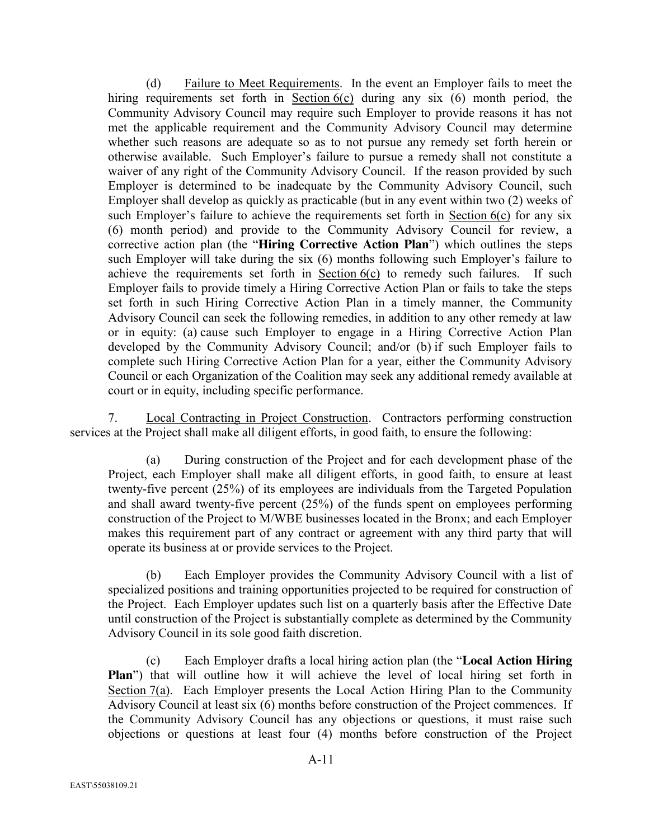(d) Failure to Meet Requirements. In the event an Employer fails to meet the hiring requirements set forth in Section  $6(c)$  during any six (6) month period, the Community Advisory Council may require such Employer to provide reasons it has not met the applicable requirement and the Community Advisory Council may determine whether such reasons are adequate so as to not pursue any remedy set forth herein or otherwise available. Such Employer's failure to pursue a remedy shall not constitute a waiver of any right of the Community Advisory Council. If the reason provided by such Employer is determined to be inadequate by the Community Advisory Council, such Employer shall develop as quickly as practicable (but in any event within two (2) weeks of such Employer's failure to achieve the requirements set forth in Section 6(c) for any six (6) month period) and provide to the Community Advisory Council for review, a corrective action plan (the "**Hiring Corrective Action Plan**") which outlines the steps such Employer will take during the six (6) months following such Employer's failure to achieve the requirements set forth in Section  $6(c)$  to remedy such failures. If such Employer fails to provide timely a Hiring Corrective Action Plan or fails to take the steps set forth in such Hiring Corrective Action Plan in a timely manner, the Community Advisory Council can seek the following remedies, in addition to any other remedy at law or in equity: (a) cause such Employer to engage in a Hiring Corrective Action Plan developed by the Community Advisory Council; and/or (b) if such Employer fails to complete such Hiring Corrective Action Plan for a year, either the Community Advisory Council or each Organization of the Coalition may seek any additional remedy available at court or in equity, including specific performance.

7. Local Contracting in Project Construction. Contractors performing construction services at the Project shall make all diligent efforts, in good faith, to ensure the following:

(a) During construction of the Project and for each development phase of the Project, each Employer shall make all diligent efforts, in good faith, to ensure at least twenty-five percent (25%) of its employees are individuals from the Targeted Population and shall award twenty-five percent (25%) of the funds spent on employees performing construction of the Project to M/WBE businesses located in the Bronx; and each Employer makes this requirement part of any contract or agreement with any third party that will operate its business at or provide services to the Project.

(b) Each Employer provides the Community Advisory Council with a list of specialized positions and training opportunities projected to be required for construction of the Project. Each Employer updates such list on a quarterly basis after the Effective Date until construction of the Project is substantially complete as determined by the Community Advisory Council in its sole good faith discretion.

(c) Each Employer drafts a local hiring action plan (the "**Local Action Hiring Plan**") that will outline how it will achieve the level of local hiring set forth in Section 7(a). Each Employer presents the Local Action Hiring Plan to the Community Advisory Council at least six (6) months before construction of the Project commences. If the Community Advisory Council has any objections or questions, it must raise such objections or questions at least four (4) months before construction of the Project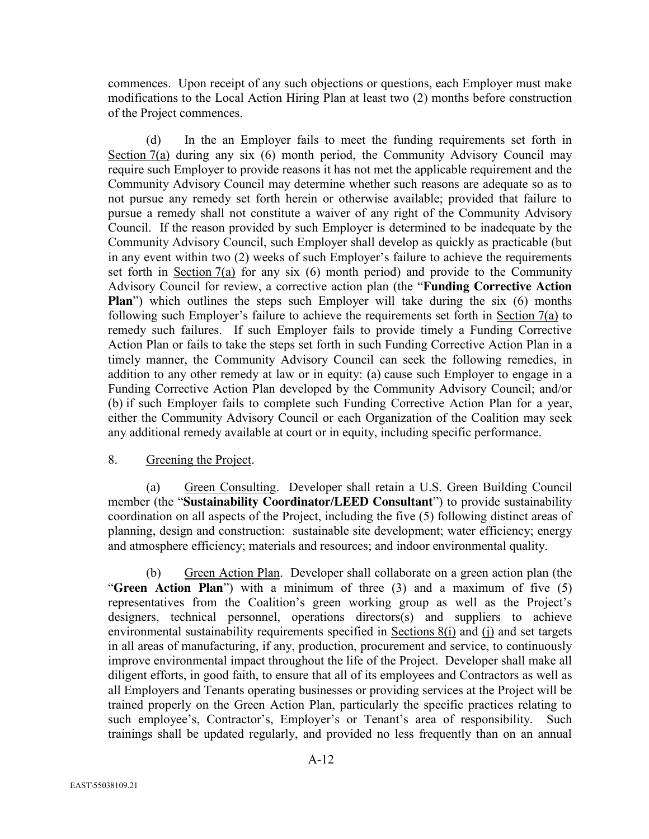commences. Upon receipt of any such objections or questions, each Employer must make modifications to the Local Action Hiring Plan at least two (2) months before construction of the Project commences.

(d) In the an Employer fails to meet the funding requirements set forth in Section 7(a) during any six (6) month period, the Community Advisory Council may require such Employer to provide reasons it has not met the applicable requirement and the Community Advisory Council may determine whether such reasons are adequate so as to not pursue any remedy set forth herein or otherwise available; provided that failure to pursue a remedy shall not constitute a waiver of any right of the Community Advisory Council. If the reason provided by such Employer is determined to be inadequate by the Community Advisory Council, such Employer shall develop as quickly as practicable (but in any event within two (2) weeks of such Employer's failure to achieve the requirements set forth in Section 7(a) for any six  $(6)$  month period) and provide to the Community Advisory Council for review, a corrective action plan (the "**Funding Corrective Action Plan**") which outlines the steps such Employer will take during the six (6) months following such Employer's failure to achieve the requirements set forth in Section 7(a) to remedy such failures. If such Employer fails to provide timely a Funding Corrective Action Plan or fails to take the steps set forth in such Funding Corrective Action Plan in a timely manner, the Community Advisory Council can seek the following remedies, in addition to any other remedy at law or in equity: (a) cause such Employer to engage in a Funding Corrective Action Plan developed by the Community Advisory Council; and/or (b) if such Employer fails to complete such Funding Corrective Action Plan for a year, either the Community Advisory Council or each Organization of the Coalition may seek any additional remedy available at court or in equity, including specific performance.

## 8. Greening the Project.

(a) Green Consulting. Developer shall retain a U.S. Green Building Council member (the "**Sustainability Coordinator/LEED Consultant**") to provide sustainability coordination on all aspects of the Project, including the five (5) following distinct areas of planning, design and construction: sustainable site development; water efficiency; energy and atmosphere efficiency; materials and resources; and indoor environmental quality.

(b) Green Action Plan. Developer shall collaborate on a green action plan (the "**Green Action Plan**") with a minimum of three (3) and a maximum of five (5) representatives from the Coalition's green working group as well as the Project's designers, technical personnel, operations directors(s) and suppliers to achieve environmental sustainability requirements specified in Sections 8(i) and (j) and set targets in all areas of manufacturing, if any, production, procurement and service, to continuously improve environmental impact throughout the life of the Project. Developer shall make all diligent efforts, in good faith, to ensure that all of its employees and Contractors as well as all Employers and Tenants operating businesses or providing services at the Project will be trained properly on the Green Action Plan, particularly the specific practices relating to such employee's, Contractor's, Employer's or Tenant's area of responsibility. Such trainings shall be updated regularly, and provided no less frequently than on an annual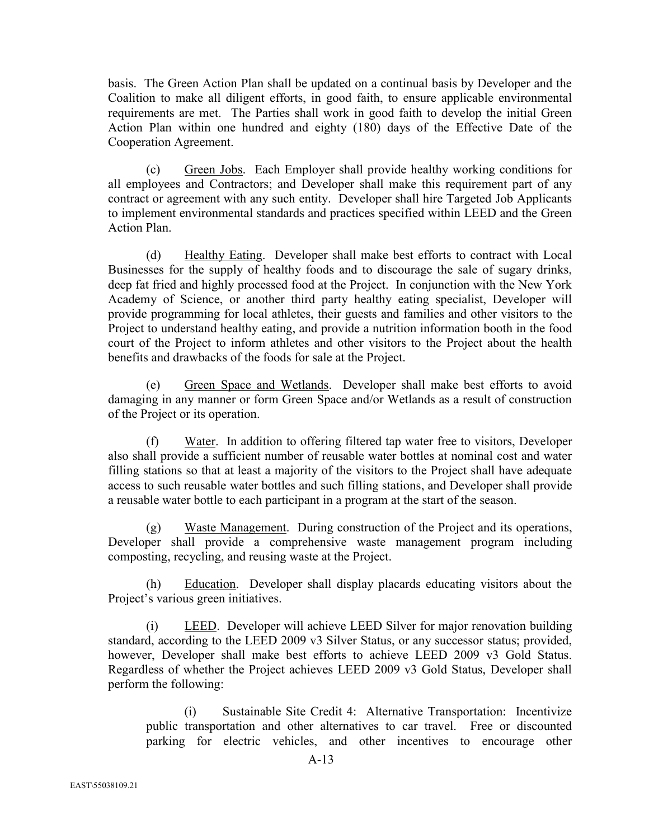basis. The Green Action Plan shall be updated on a continual basis by Developer and the Coalition to make all diligent efforts, in good faith, to ensure applicable environmental requirements are met. The Parties shall work in good faith to develop the initial Green Action Plan within one hundred and eighty (180) days of the Effective Date of the Cooperation Agreement.

(c) Green Jobs. Each Employer shall provide healthy working conditions for all employees and Contractors; and Developer shall make this requirement part of any contract or agreement with any such entity. Developer shall hire Targeted Job Applicants to implement environmental standards and practices specified within LEED and the Green Action Plan.

(d) Healthy Eating. Developer shall make best efforts to contract with Local Businesses for the supply of healthy foods and to discourage the sale of sugary drinks, deep fat fried and highly processed food at the Project. In conjunction with the New York Academy of Science, or another third party healthy eating specialist, Developer will provide programming for local athletes, their guests and families and other visitors to the Project to understand healthy eating, and provide a nutrition information booth in the food court of the Project to inform athletes and other visitors to the Project about the health benefits and drawbacks of the foods for sale at the Project.

(e) Green Space and Wetlands. Developer shall make best efforts to avoid damaging in any manner or form Green Space and/or Wetlands as a result of construction of the Project or its operation.

(f) Water. In addition to offering filtered tap water free to visitors, Developer also shall provide a sufficient number of reusable water bottles at nominal cost and water filling stations so that at least a majority of the visitors to the Project shall have adequate access to such reusable water bottles and such filling stations, and Developer shall provide a reusable water bottle to each participant in a program at the start of the season.

(g) Waste Management. During construction of the Project and its operations, Developer shall provide a comprehensive waste management program including composting, recycling, and reusing waste at the Project.

(h) Education. Developer shall display placards educating visitors about the Project's various green initiatives.

(i) LEED. Developer will achieve LEED Silver for major renovation building standard, according to the LEED 2009 v3 Silver Status, or any successor status; provided, however, Developer shall make best efforts to achieve LEED 2009 v3 Gold Status. Regardless of whether the Project achieves LEED 2009 v3 Gold Status, Developer shall perform the following:

(i) Sustainable Site Credit 4: Alternative Transportation: Incentivize public transportation and other alternatives to car travel. Free or discounted parking for electric vehicles, and other incentives to encourage other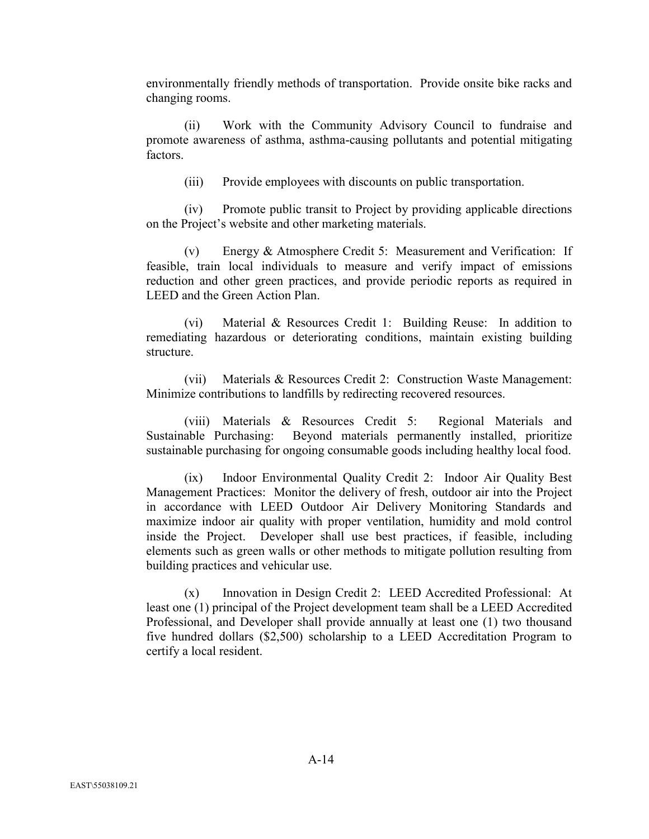environmentally friendly methods of transportation. Provide onsite bike racks and changing rooms.

(ii) Work with the Community Advisory Council to fundraise and promote awareness of asthma, asthma-causing pollutants and potential mitigating factors.

(iii) Provide employees with discounts on public transportation.

(iv) Promote public transit to Project by providing applicable directions on the Project's website and other marketing materials.

(v) Energy & Atmosphere Credit 5: Measurement and Verification: If feasible, train local individuals to measure and verify impact of emissions reduction and other green practices, and provide periodic reports as required in LEED and the Green Action Plan.

(vi) Material & Resources Credit 1: Building Reuse: In addition to remediating hazardous or deteriorating conditions, maintain existing building structure.

(vii) Materials & Resources Credit 2: Construction Waste Management: Minimize contributions to landfills by redirecting recovered resources.

(viii) Materials & Resources Credit 5: Regional Materials and Sustainable Purchasing: Beyond materials permanently installed, prioritize sustainable purchasing for ongoing consumable goods including healthy local food.

(ix) Indoor Environmental Quality Credit 2: Indoor Air Quality Best Management Practices: Monitor the delivery of fresh, outdoor air into the Project in accordance with LEED Outdoor Air Delivery Monitoring Standards and maximize indoor air quality with proper ventilation, humidity and mold control inside the Project. Developer shall use best practices, if feasible, including elements such as green walls or other methods to mitigate pollution resulting from building practices and vehicular use.

(x) Innovation in Design Credit 2: LEED Accredited Professional: At least one (1) principal of the Project development team shall be a LEED Accredited Professional, and Developer shall provide annually at least one (1) two thousand five hundred dollars (\$2,500) scholarship to a LEED Accreditation Program to certify a local resident.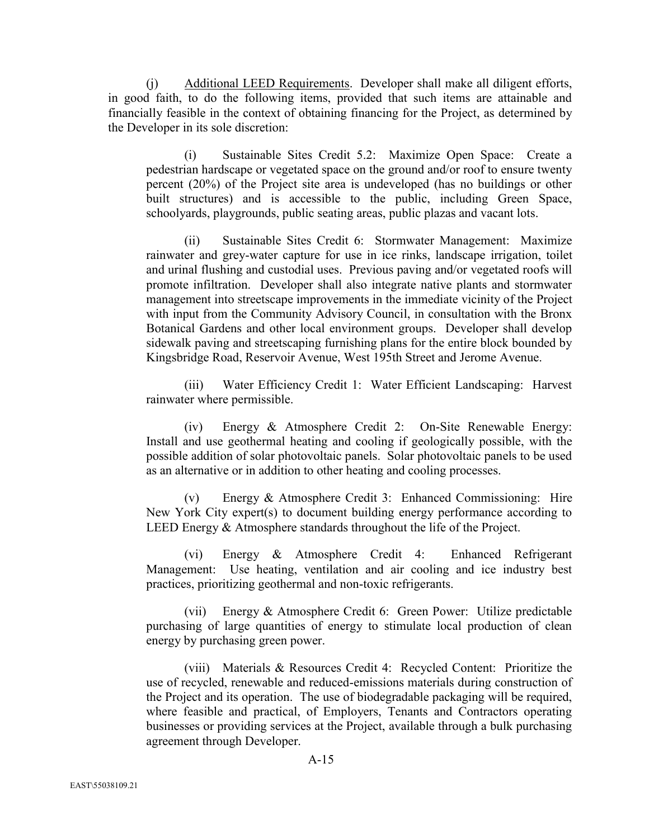(j) Additional LEED Requirements. Developer shall make all diligent efforts, in good faith, to do the following items, provided that such items are attainable and financially feasible in the context of obtaining financing for the Project, as determined by the Developer in its sole discretion:

(i) Sustainable Sites Credit 5.2: Maximize Open Space: Create a pedestrian hardscape or vegetated space on the ground and/or roof to ensure twenty percent (20%) of the Project site area is undeveloped (has no buildings or other built structures) and is accessible to the public, including Green Space, schoolyards, playgrounds, public seating areas, public plazas and vacant lots.

(ii) Sustainable Sites Credit 6: Stormwater Management: Maximize rainwater and grey-water capture for use in ice rinks, landscape irrigation, toilet and urinal flushing and custodial uses. Previous paving and/or vegetated roofs will promote infiltration. Developer shall also integrate native plants and stormwater management into streetscape improvements in the immediate vicinity of the Project with input from the Community Advisory Council, in consultation with the Bronx Botanical Gardens and other local environment groups. Developer shall develop sidewalk paving and streetscaping furnishing plans for the entire block bounded by Kingsbridge Road, Reservoir Avenue, West 195th Street and Jerome Avenue.

(iii) Water Efficiency Credit 1: Water Efficient Landscaping: Harvest rainwater where permissible.

(iv) Energy & Atmosphere Credit 2: On-Site Renewable Energy: Install and use geothermal heating and cooling if geologically possible, with the possible addition of solar photovoltaic panels. Solar photovoltaic panels to be used as an alternative or in addition to other heating and cooling processes.

(v) Energy & Atmosphere Credit 3: Enhanced Commissioning: Hire New York City expert(s) to document building energy performance according to LEED Energy & Atmosphere standards throughout the life of the Project.

(vi) Energy & Atmosphere Credit 4: Enhanced Refrigerant Management: Use heating, ventilation and air cooling and ice industry best practices, prioritizing geothermal and non-toxic refrigerants.

(vii) Energy & Atmosphere Credit 6: Green Power: Utilize predictable purchasing of large quantities of energy to stimulate local production of clean energy by purchasing green power.

(viii) Materials & Resources Credit 4: Recycled Content: Prioritize the use of recycled, renewable and reduced-emissions materials during construction of the Project and its operation. The use of biodegradable packaging will be required, where feasible and practical, of Employers, Tenants and Contractors operating businesses or providing services at the Project, available through a bulk purchasing agreement through Developer.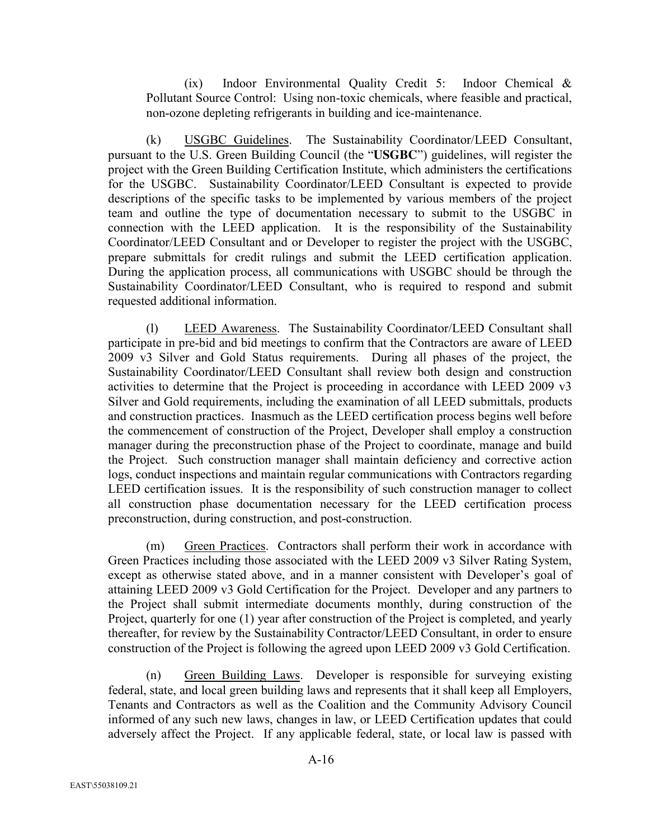(ix) Indoor Environmental Quality Credit 5: Indoor Chemical & Pollutant Source Control: Using non-toxic chemicals, where feasible and practical, non-ozone depleting refrigerants in building and ice-maintenance.

(k) USGBC Guidelines. The Sustainability Coordinator/LEED Consultant, pursuant to the U.S. Green Building Council (the "**USGBC**") guidelines, will register the project with the Green Building Certification Institute, which administers the certifications for the USGBC. Sustainability Coordinator/LEED Consultant is expected to provide descriptions of the specific tasks to be implemented by various members of the project team and outline the type of documentation necessary to submit to the USGBC in connection with the LEED application. It is the responsibility of the Sustainability Coordinator/LEED Consultant and or Developer to register the project with the USGBC, prepare submittals for credit rulings and submit the LEED certification application. During the application process, all communications with USGBC should be through the Sustainability Coordinator/LEED Consultant, who is required to respond and submit requested additional information.

(l) LEED Awareness. The Sustainability Coordinator/LEED Consultant shall participate in pre-bid and bid meetings to confirm that the Contractors are aware of LEED 2009 v3 Silver and Gold Status requirements. During all phases of the project, the Sustainability Coordinator/LEED Consultant shall review both design and construction activities to determine that the Project is proceeding in accordance with LEED 2009 v3 Silver and Gold requirements, including the examination of all LEED submittals, products and construction practices. Inasmuch as the LEED certification process begins well before the commencement of construction of the Project, Developer shall employ a construction manager during the preconstruction phase of the Project to coordinate, manage and build the Project. Such construction manager shall maintain deficiency and corrective action logs, conduct inspections and maintain regular communications with Contractors regarding LEED certification issues. It is the responsibility of such construction manager to collect all construction phase documentation necessary for the LEED certification process preconstruction, during construction, and post-construction.

(m) Green Practices. Contractors shall perform their work in accordance with Green Practices including those associated with the LEED 2009 v3 Silver Rating System, except as otherwise stated above, and in a manner consistent with Developer's goal of attaining LEED 2009 v3 Gold Certification for the Project. Developer and any partners to the Project shall submit intermediate documents monthly, during construction of the Project, quarterly for one (1) year after construction of the Project is completed, and yearly thereafter, for review by the Sustainability Contractor/LEED Consultant, in order to ensure construction of the Project is following the agreed upon LEED 2009 v3 Gold Certification.

(n) Green Building Laws. Developer is responsible for surveying existing federal, state, and local green building laws and represents that it shall keep all Employers, Tenants and Contractors as well as the Coalition and the Community Advisory Council informed of any such new laws, changes in law, or LEED Certification updates that could adversely affect the Project. If any applicable federal, state, or local law is passed with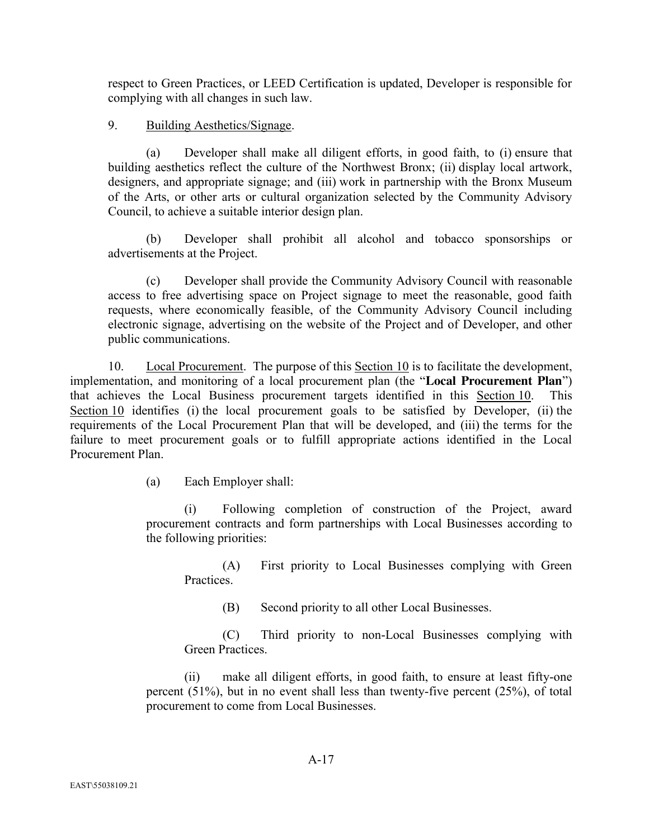respect to Green Practices, or LEED Certification is updated, Developer is responsible for complying with all changes in such law.

# 9. Building Aesthetics/Signage.

(a) Developer shall make all diligent efforts, in good faith, to (i) ensure that building aesthetics reflect the culture of the Northwest Bronx; (ii) display local artwork, designers, and appropriate signage; and (iii) work in partnership with the Bronx Museum of the Arts, or other arts or cultural organization selected by the Community Advisory Council, to achieve a suitable interior design plan.

(b) Developer shall prohibit all alcohol and tobacco sponsorships or advertisements at the Project.

(c) Developer shall provide the Community Advisory Council with reasonable access to free advertising space on Project signage to meet the reasonable, good faith requests, where economically feasible, of the Community Advisory Council including electronic signage, advertising on the website of the Project and of Developer, and other public communications.

10. Local Procurement. The purpose of this Section 10 is to facilitate the development, implementation, and monitoring of a local procurement plan (the "**Local Procurement Plan**") that achieves the Local Business procurement targets identified in this Section 10. This Section 10 identifies (i) the local procurement goals to be satisfied by Developer, (ii) the requirements of the Local Procurement Plan that will be developed, and (iii) the terms for the failure to meet procurement goals or to fulfill appropriate actions identified in the Local Procurement Plan.

(a) Each Employer shall:

(i) Following completion of construction of the Project, award procurement contracts and form partnerships with Local Businesses according to the following priorities:

(A) First priority to Local Businesses complying with Green **Practices** 

(B) Second priority to all other Local Businesses.

(C) Third priority to non-Local Businesses complying with Green Practices.

(ii) make all diligent efforts, in good faith, to ensure at least fifty-one percent (51%), but in no event shall less than twenty-five percent (25%), of total procurement to come from Local Businesses.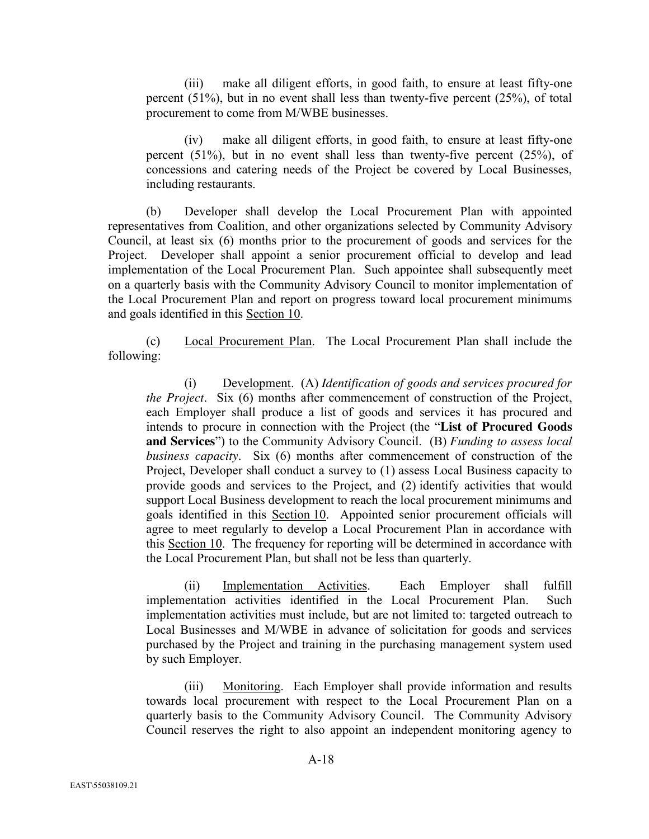(iii) make all diligent efforts, in good faith, to ensure at least fifty-one percent (51%), but in no event shall less than twenty-five percent (25%), of total procurement to come from M/WBE businesses.

(iv) make all diligent efforts, in good faith, to ensure at least fifty-one percent (51%), but in no event shall less than twenty-five percent (25%), of concessions and catering needs of the Project be covered by Local Businesses, including restaurants.

(b) Developer shall develop the Local Procurement Plan with appointed representatives from Coalition, and other organizations selected by Community Advisory Council, at least six (6) months prior to the procurement of goods and services for the Project. Developer shall appoint a senior procurement official to develop and lead implementation of the Local Procurement Plan. Such appointee shall subsequently meet on a quarterly basis with the Community Advisory Council to monitor implementation of the Local Procurement Plan and report on progress toward local procurement minimums and goals identified in this Section 10.

(c) Local Procurement Plan. The Local Procurement Plan shall include the following:

(i) Development. (A) *Identification of goods and services procured for the Project*. Six (6) months after commencement of construction of the Project, each Employer shall produce a list of goods and services it has procured and intends to procure in connection with the Project (the "**List of Procured Goods and Services**") to the Community Advisory Council. (B) *Funding to assess local business capacity*. Six (6) months after commencement of construction of the Project, Developer shall conduct a survey to (1) assess Local Business capacity to provide goods and services to the Project, and (2) identify activities that would support Local Business development to reach the local procurement minimums and goals identified in this Section 10. Appointed senior procurement officials will agree to meet regularly to develop a Local Procurement Plan in accordance with this Section 10. The frequency for reporting will be determined in accordance with the Local Procurement Plan, but shall not be less than quarterly.

(ii) Implementation Activities. Each Employer shall fulfill implementation activities identified in the Local Procurement Plan. Such implementation activities must include, but are not limited to: targeted outreach to Local Businesses and M/WBE in advance of solicitation for goods and services purchased by the Project and training in the purchasing management system used by such Employer.

(iii) Monitoring. Each Employer shall provide information and results towards local procurement with respect to the Local Procurement Plan on a quarterly basis to the Community Advisory Council. The Community Advisory Council reserves the right to also appoint an independent monitoring agency to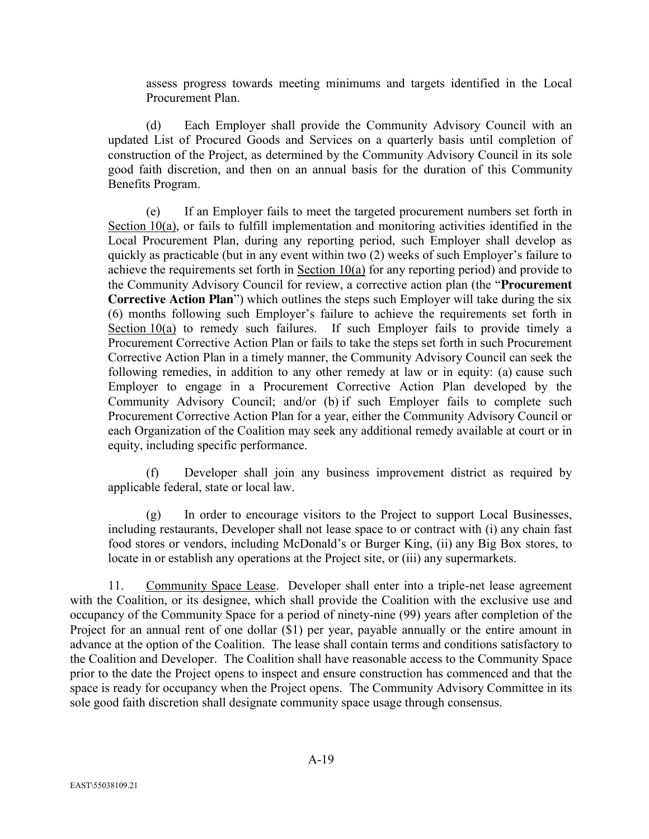assess progress towards meeting minimums and targets identified in the Local Procurement Plan.

(d) Each Employer shall provide the Community Advisory Council with an updated List of Procured Goods and Services on a quarterly basis until completion of construction of the Project, as determined by the Community Advisory Council in its sole good faith discretion, and then on an annual basis for the duration of this Community Benefits Program.

(e) If an Employer fails to meet the targeted procurement numbers set forth in Section 10(a), or fails to fulfill implementation and monitoring activities identified in the Local Procurement Plan, during any reporting period, such Employer shall develop as quickly as practicable (but in any event within two (2) weeks of such Employer's failure to achieve the requirements set forth in Section 10(a) for any reporting period) and provide to the Community Advisory Council for review, a corrective action plan (the "**Procurement Corrective Action Plan**") which outlines the steps such Employer will take during the six (6) months following such Employer's failure to achieve the requirements set forth in Section 10(a) to remedy such failures. If such Employer fails to provide timely a Procurement Corrective Action Plan or fails to take the steps set forth in such Procurement Corrective Action Plan in a timely manner, the Community Advisory Council can seek the following remedies, in addition to any other remedy at law or in equity: (a) cause such Employer to engage in a Procurement Corrective Action Plan developed by the Community Advisory Council; and/or (b) if such Employer fails to complete such Procurement Corrective Action Plan for a year, either the Community Advisory Council or each Organization of the Coalition may seek any additional remedy available at court or in equity, including specific performance.

(f) Developer shall join any business improvement district as required by applicable federal, state or local law.

(g) In order to encourage visitors to the Project to support Local Businesses, including restaurants, Developer shall not lease space to or contract with (i) any chain fast food stores or vendors, including McDonald's or Burger King, (ii) any Big Box stores, to locate in or establish any operations at the Project site, or (iii) any supermarkets.

11. Community Space Lease. Developer shall enter into a triple-net lease agreement with the Coalition, or its designee, which shall provide the Coalition with the exclusive use and occupancy of the Community Space for a period of ninety-nine (99) years after completion of the Project for an annual rent of one dollar (\$1) per year, payable annually or the entire amount in advance at the option of the Coalition. The lease shall contain terms and conditions satisfactory to the Coalition and Developer. The Coalition shall have reasonable access to the Community Space prior to the date the Project opens to inspect and ensure construction has commenced and that the space is ready for occupancy when the Project opens. The Community Advisory Committee in its sole good faith discretion shall designate community space usage through consensus.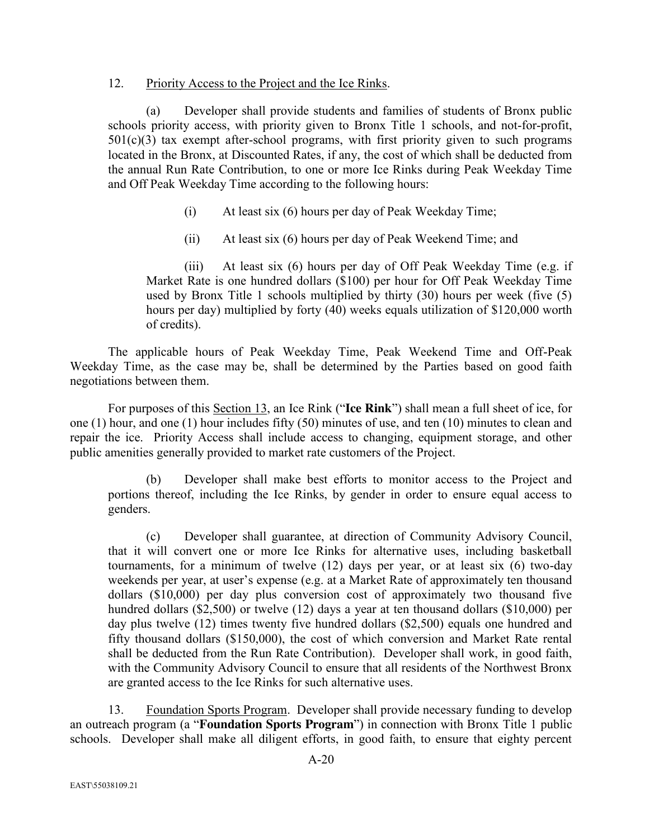#### 12. Priority Access to the Project and the Ice Rinks.

(a) Developer shall provide students and families of students of Bronx public schools priority access, with priority given to Bronx Title 1 schools, and not-for-profit,  $501(c)(3)$  tax exempt after-school programs, with first priority given to such programs located in the Bronx, at Discounted Rates, if any, the cost of which shall be deducted from the annual Run Rate Contribution, to one or more Ice Rinks during Peak Weekday Time and Off Peak Weekday Time according to the following hours:

- (i) At least six (6) hours per day of Peak Weekday Time;
- (ii) At least six (6) hours per day of Peak Weekend Time; and

(iii) At least six (6) hours per day of Off Peak Weekday Time (e.g. if Market Rate is one hundred dollars (\$100) per hour for Off Peak Weekday Time used by Bronx Title 1 schools multiplied by thirty (30) hours per week (five (5) hours per day) multiplied by forty (40) weeks equals utilization of \$120,000 worth of credits).

The applicable hours of Peak Weekday Time, Peak Weekend Time and Off-Peak Weekday Time, as the case may be, shall be determined by the Parties based on good faith negotiations between them.

For purposes of this Section 13, an Ice Rink ("**Ice Rink**") shall mean a full sheet of ice, for one (1) hour, and one (1) hour includes fifty (50) minutes of use, and ten (10) minutes to clean and repair the ice. Priority Access shall include access to changing, equipment storage, and other public amenities generally provided to market rate customers of the Project.

(b) Developer shall make best efforts to monitor access to the Project and portions thereof, including the Ice Rinks, by gender in order to ensure equal access to genders.

(c) Developer shall guarantee, at direction of Community Advisory Council, that it will convert one or more Ice Rinks for alternative uses, including basketball tournaments, for a minimum of twelve (12) days per year, or at least six (6) two-day weekends per year, at user's expense (e.g. at a Market Rate of approximately ten thousand dollars (\$10,000) per day plus conversion cost of approximately two thousand five hundred dollars (\$2,500) or twelve (12) days a year at ten thousand dollars (\$10,000) per day plus twelve (12) times twenty five hundred dollars (\$2,500) equals one hundred and fifty thousand dollars (\$150,000), the cost of which conversion and Market Rate rental shall be deducted from the Run Rate Contribution). Developer shall work, in good faith, with the Community Advisory Council to ensure that all residents of the Northwest Bronx are granted access to the Ice Rinks for such alternative uses.

13. Foundation Sports Program. Developer shall provide necessary funding to develop an outreach program (a "**Foundation Sports Program**") in connection with Bronx Title 1 public schools. Developer shall make all diligent efforts, in good faith, to ensure that eighty percent